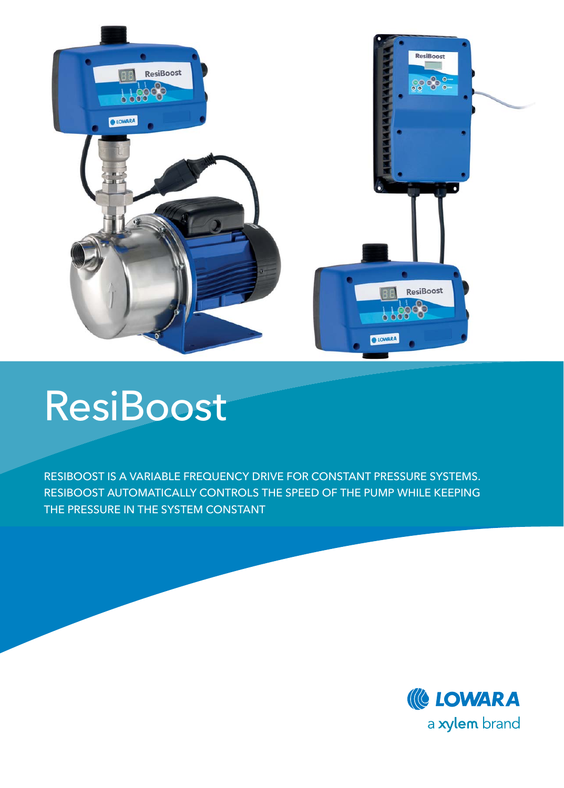

## ResiBoost

RESIBOOST IS A VARIABLE FREQUENCY DRIVE FOR CONSTANT PRESSURE SYSTEMS. RESIBOOST AUTOMATICALLY CONTROLS THE SPEED OF THE PUMP WHILE KEEPING THE PRESSURE IN THE SYSTEM CONSTANT

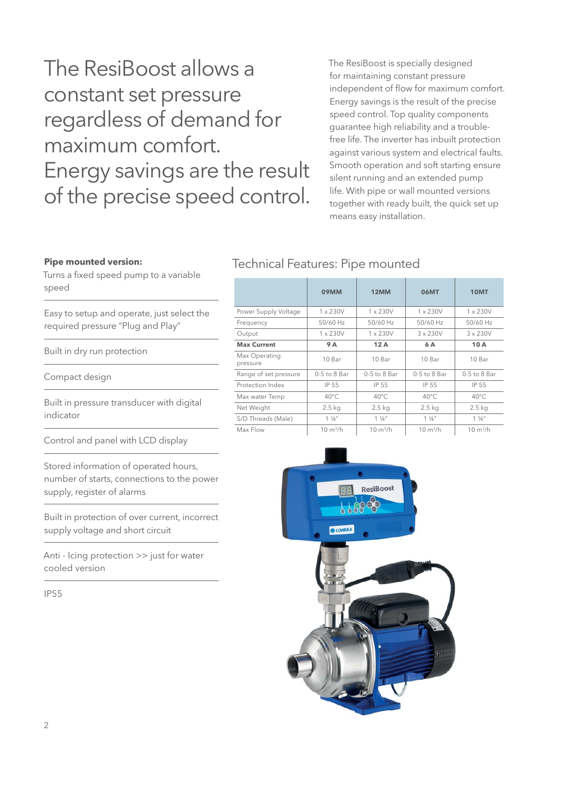## The ResiBoost allows a constant set pressure regardless of demand for maximum comfort. Energy savings are the result of the precise speed control.

The ResiBoost is specially designed for maintaining constant pressure independent of flow for maximum comfort. Energy savings is the result of the precise speed control. Top quality components guarantee high reliability and a troublefree life. The inverter has inbuilt protection against various system and electrical faults. Smooth operation and soft starting ensure silent running and an extended pump life. With pipe or wall mounted versions together with ready built, the quick set up means easy installation.

#### **Pipe mounted version:**

Turns a fixed speed pump to a variable speed

Easy to setup and operate, just select the required pressure "Plug and Play"

Built in dry run protection

Compact design

Built in pressure transducer with digital indicator

Control and panel with LCD display

Stored information of operated hours, number of starts, connections to the power supply, register of alarms

Built in protection of over current, incorrect supply voltage and short circuit

Anti - Icing protection >> just for water cooled version

IP55

#### Technical Features: Pipe mounted

|                           | <b>09MM</b>        | 12MM               | <b>06MT</b>        | <b>10MT</b>        |
|---------------------------|--------------------|--------------------|--------------------|--------------------|
| Power Supply Voltage      | $1 \times 230V$    | $1 \times 230V$    | $1 \times 230V$    | $1 \times 230V$    |
| Frequency                 | 50/60 Hz           | 50/60 Hz           | 50/60 Hz           | 50/60 Hz           |
| Output                    | $1 \times 230V$    | $1 \times 230V$    | $3 \times 230V$    | $3 \times 230V$    |
| <b>Max Current</b>        | <b>9 A</b>         | 12A                | 6 A                | 10 A               |
| Max Operating<br>pressure | 10 Bar             | 10 Bar             | 10 Bar             | 10 Bar             |
| Range of set pressure     | $0-5$ to $8$ Bar   | $0-5$ to $8$ Bar   | $0-5$ to $8$ Bar   | $0-5$ to $8$ Bar   |
| Protection Index          | IP 55              | IP 55              | IP 55              | IP 55              |
| Max water Temp            | $40^{\circ}$ C     | $40^{\circ}$ C     | $40^{\circ}$ C     | $40^{\circ}$ C     |
| Net Weight                | $2.5$ kg           | $2.5$ kg           | $2.5$ kg           | $2.5$ kg           |
| S/D Threads (Male)        | $1\frac{1}{4}$     | $1 \frac{1}{4}$    | $1 \frac{1}{4}$    | $1\frac{1}{4}$     |
| Max Flow                  | $10 \text{ m}^3/h$ | $10 \text{ m}^3/h$ | $10 \text{ m}^3/h$ | $10 \text{ m}^3/h$ |

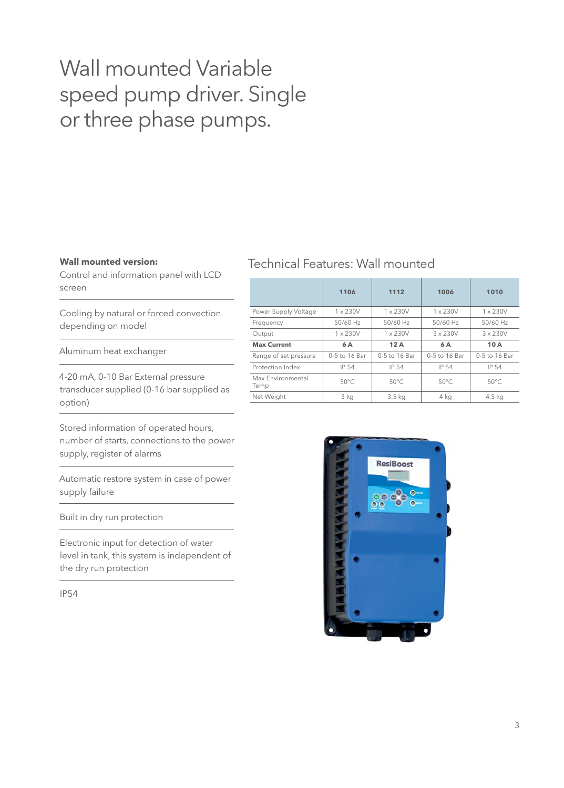## Wall mounted Variable speed pump driver. Single or three phase pumps.

#### **Wall mounted version:**

Control and information panel with LCD screen

Cooling by natural or forced convection depending on model

Aluminum heat exchanger

4-20 mA, 0-10 Bar External pressure transducer supplied (0-16 bar supplied as option)

Stored information of operated hours, number of starts, connections to the power supply, register of alarms

Automatic restore system in case of power supply failure

Built in dry run protection

Electronic input for detection of water level in tank, this system is independent of the dry run protection

IP54

#### Technical Features: Wall mounted

|                           | 1106            | 1112              | 1006            | 1010            |
|---------------------------|-----------------|-------------------|-----------------|-----------------|
| Power Supply Voltage      | $1 \times 230V$ | $1 \times 230V$   | $1 \times 230V$ | $1 \times 230V$ |
| Frequency                 | 50/60 Hz        | 50/60 Hz          | 50/60 Hz        | 50/60 Hz        |
| Output                    | $1 \times 230V$ | $1 \times 230V$   | $3 \times 230V$ | $3 \times 230V$ |
| <b>Max Current</b>        | 6 A             | 12A               | 6 A             | 10A             |
| Range of set pressure     | 0-5 to 16 Bar   | 0-5 to 16 Bar     | 0-5 to 16 Bar   | 0-5 to 16 Bar   |
| Protection Index          | IP 54           | IP 54             | IP 54           | IP 54           |
| Max Environmental<br>Temp | $50^{\circ}$ C  | $50^{\circ}$ C    | $50^{\circ}$ C  | $50^{\circ}$ C  |
| Net Weight                | 3 kg            | 3.5 <sub>kg</sub> | 4 kg            | $4.5$ kg        |

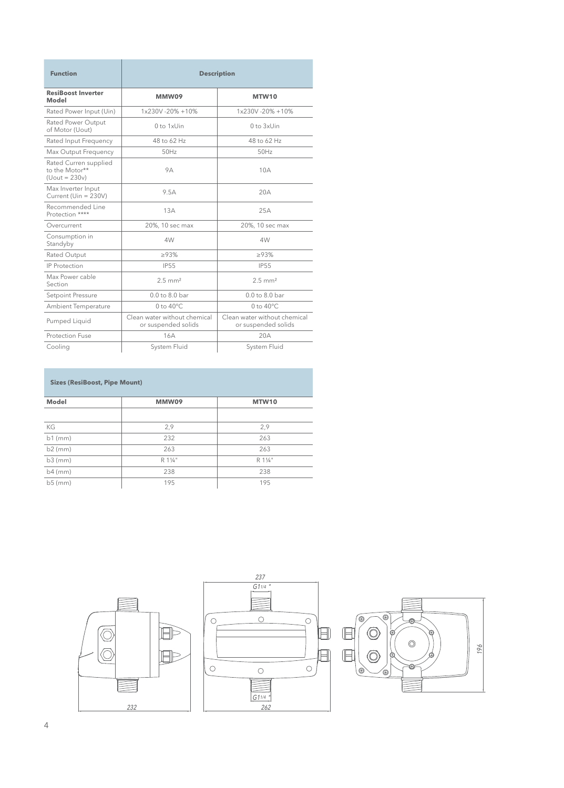| <b>Function</b>                                            | <b>Description</b>                                  |                                                     |  |  |
|------------------------------------------------------------|-----------------------------------------------------|-----------------------------------------------------|--|--|
| <b>ResiBoost Inverter</b><br>Model                         | MMW09                                               | MTW10                                               |  |  |
| Rated Power Input (Uin)                                    | 1x230V-20%+10%                                      | 1x230V-20%+10%                                      |  |  |
| Rated Power Output<br>of Motor (Uout)                      | $0$ to $1$ xUin                                     | $0$ to $3x$ Uin                                     |  |  |
| Rated Input Frequency                                      | 48 to 62 Hz                                         | 48 to 62 Hz                                         |  |  |
| Max Output Frequency                                       | 50Hz                                                | 50Hz                                                |  |  |
| Rated Curren supplied<br>to the Motor**<br>$(Uout = 230v)$ | 9Δ                                                  | 10A                                                 |  |  |
| Max Inverter Input<br>Current (Uin = 230V)                 | 9.5A                                                | 20A                                                 |  |  |
| Recommended Line<br>Protection ****                        | 13A                                                 | 25A                                                 |  |  |
| Overcurrent                                                | 20%, 10 sec max                                     | 20%, 10 sec max                                     |  |  |
| Consumption in<br>Standyby                                 | 4W                                                  | 4W                                                  |  |  |
| Rated Output                                               | >93%                                                | >93%                                                |  |  |
| <b>IP Protection</b>                                       | <b>IP55</b>                                         | <b>IP55</b>                                         |  |  |
| Max Power cable<br>Section                                 | $2.5$ mm <sup>2</sup>                               | $2.5 \text{ mm}^2$                                  |  |  |
| Setpoint Pressure                                          | $0.0$ to $8.0$ bar                                  | $0.0$ to $8.0$ bar                                  |  |  |
| Ambient Temperature                                        | $0$ to $40^{\circ}$ C.                              | $0$ to $40^{\circ}$ C.                              |  |  |
| Pumped Liquid                                              | Clean water without chemical<br>or suspended solids | Clean water without chemical<br>or suspended solids |  |  |
| Protection Fuse                                            | 16A                                                 | 20A                                                 |  |  |
| Cooling                                                    | System Fluid                                        | System Fluid                                        |  |  |

#### **Sizes (ResiBoost, Pipe Mount)**

| <b>Model</b> | MMW09   | MTW10   |
|--------------|---------|---------|
|              |         |         |
| KG           | 2,9     | 2,9     |
| $b1$ (mm)    | 232     | 263     |
| $b2$ (mm)    | 263     | 263     |
| $b3$ (mm)    | R 11/4" | R 11/4" |
| $b4$ (mm)    | 238     | 238     |
| $b5$ (mm)    | 195     | 195     |

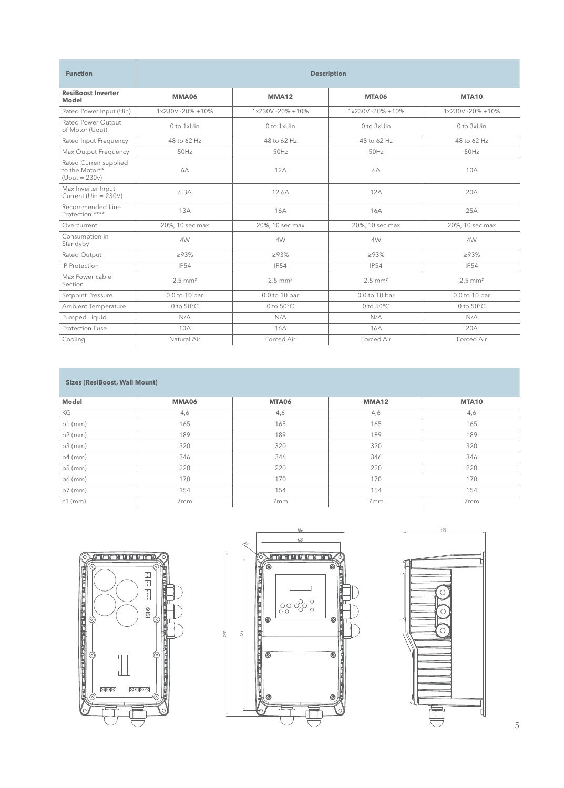| <b>Function</b>                                            | <b>Description</b>    |                       |                       |                       |
|------------------------------------------------------------|-----------------------|-----------------------|-----------------------|-----------------------|
| <b>ResiBoost Inverter</b><br>Model                         | <b>MMA06</b>          | <b>MMA12</b>          | MTA06                 | <b>MTA10</b>          |
| Rated Power Input (Uin)                                    | 1x230V-20%+10%        | 1x230V-20%+10%        | 1x230V-20%+10%        | 1x230V-20%+10%        |
| Rated Power Output<br>of Motor (Uout)                      | $0$ to 1xUin          | 0 to 1xUin            | $0$ to $3x$ Uin       | $0$ to $3x$ Uin       |
| Rated Input Frequency                                      | 48 to 62 Hz           | 48 to 62 Hz           | 48 to 62 Hz           | 48 to 62 Hz           |
| Max Output Frequency                                       | 50Hz                  | 50Hz                  | 50Hz                  | 50Hz                  |
| Rated Curren supplied<br>to the Motor**<br>$(Uout = 230v)$ | 6A                    | 12A                   | <b>6A</b>             | 10A                   |
| Max Inverter Input<br>Current (Uin = 230V)                 | 6.3A                  | 12.6A                 | 12A                   | 20A                   |
| Recommended Line<br>Protection ****                        | 13A                   | <b>16A</b>            | <b>16A</b>            | 25A                   |
| Overcurrent                                                | 20%, 10 sec max       | 20%, 10 sec max       | 20%, 10 sec max       | 20%, 10 sec max       |
| Consumption in<br>Standyby                                 | 4W                    | 4W                    | 4W                    | 4W                    |
| Rated Output                                               | >93%                  | >93%                  | >93%                  | >93%                  |
| IP Protection                                              | <b>IP54</b>           | <b>IP54</b>           | <b>IP54</b>           | <b>IP54</b>           |
| Max Power cable<br>Section                                 | $2.5$ mm <sup>2</sup> | $2.5$ mm <sup>2</sup> | $2.5$ mm <sup>2</sup> | $2.5$ mm <sup>2</sup> |
| Setpoint Pressure                                          | $0.0$ to 10 bar       | 0.0 to 10 bar         | 0.0 to 10 bar         | 0.0 to 10 bar         |
| Ambient Temperature                                        | $0$ to $50^{\circ}$ C | $0$ to $50^{\circ}$ C | 0 to $50^{\circ}$ C   | $0$ to $50^{\circ}$ C |
| Pumped Liquid                                              | N/A                   | N/A                   | N/A                   | N/A                   |
| Protection Fuse                                            | 10A                   | <b>16A</b>            | <b>16A</b>            | 20A                   |
| Cooling                                                    | Natural Air           | Forced Air            | Forced Air            | Forced Air            |

#### **Sizes (ResiBoost, Wall Mount)**

| Model     | MMA06 | MTA06 | <b>MMA12</b> | MTA10 |
|-----------|-------|-------|--------------|-------|
| KG        | 4,6   | 4,6   | 4,6          | 4,6   |
| $b1$ (mm) | 165   | 165   | 165          | 165   |
| $b2$ (mm) | 189   | 189   | 189          | 189   |
| $b3$ (mm) | 320   | 320   | 320          | 320   |
| $b4$ (mm) | 346   | 346   | 346          | 346   |
| $b5$ (mm) | 220   | 220   | 220          | 220   |
| b6 (mm)   | 170   | 170   | 170          | 170   |
| $b7$ (mm) | 154   | 154   | 154          | 154   |
| $c1$ (mm) | 7mm   | 7mm   | 7mm          | 7mm   |





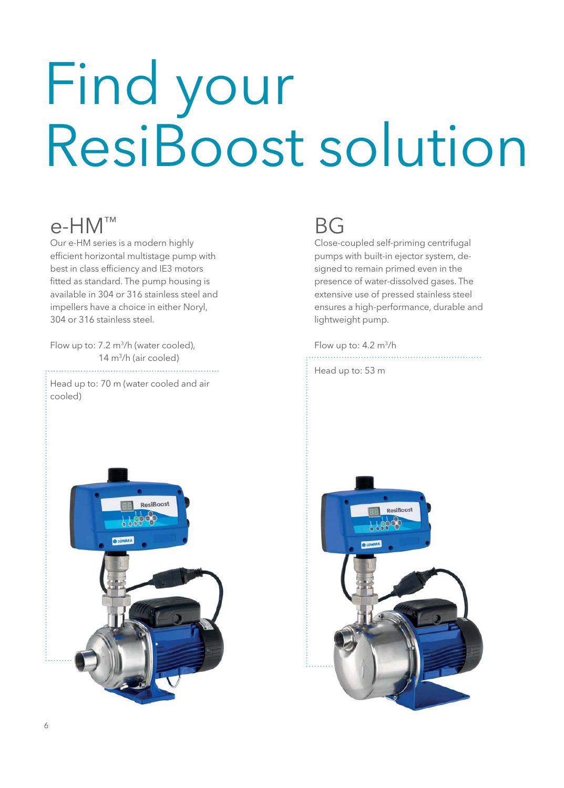# Find your ResiBoost solution

## e-HM™

Our e-HM series is a modern highly efficient horizontal multistage pump with best in class efficiency and IE3 motors fitted as standard. The pump housing is available in 304 or 316 stainless steel and impellers have a choice in either Noryl, 304 or 316 stainless steel.

Flow up to:  $7.2 \text{ m}^3/h$  (water cooled), 14 m3 /h (air cooled)

Head up to: 70 m (water cooled and air cooled)

### BG

Close-coupled self-priming centrifugal pumps with built-in ejector system, designed to remain primed even in the presence of water-dissolved gases. The extensive use of pressed stainless steel ensures a high-performance, durable and lightweight pump.

#### Flow up to: 4.2 m<sup>3</sup>/h

Head up to: 53 m



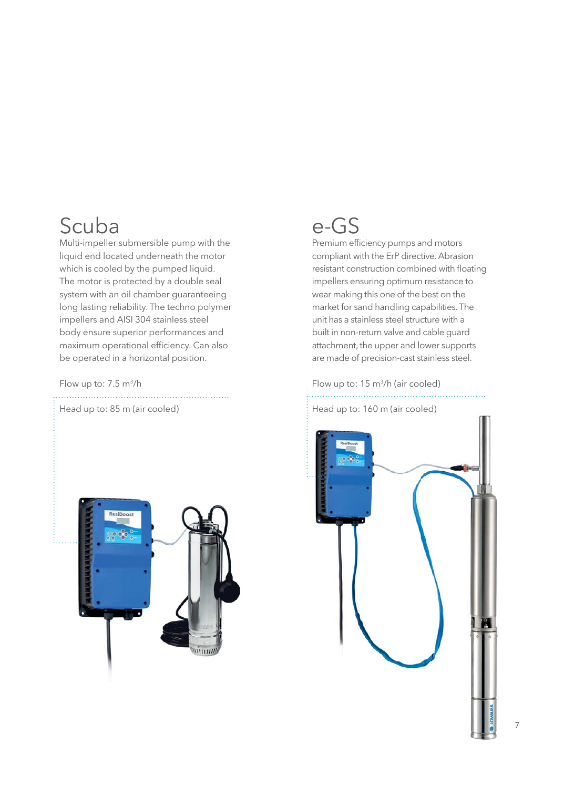## Scuba

Multi-impeller submersible pump with the liquid end located underneath the motor which is cooled by the pumped liquid. The motor is protected by a double seal system with an oil chamber guaranteeing long lasting reliability. The techno polymer impellers and AISI 304 stainless steel body ensure superior performances and maximum operational efficiency. Can also be operated in a horizontal position.

Flow up to:  $7.5 \text{ m}^3/h$ 



## e-GS

Premium efficiency pumps and motors compliant with the ErP directive. Abrasion resistant construction combined with floating impellers ensuring optimum resistance to wear making this one of the best on the market for sand handling capabilities. The unit has a stainless steel structure with a built in non-return valve and cable guard attachment, the upper and lower supports are made of precision-cast stainless steel.

Flow up to: 15 m<sup>3</sup>/h (air cooled) 

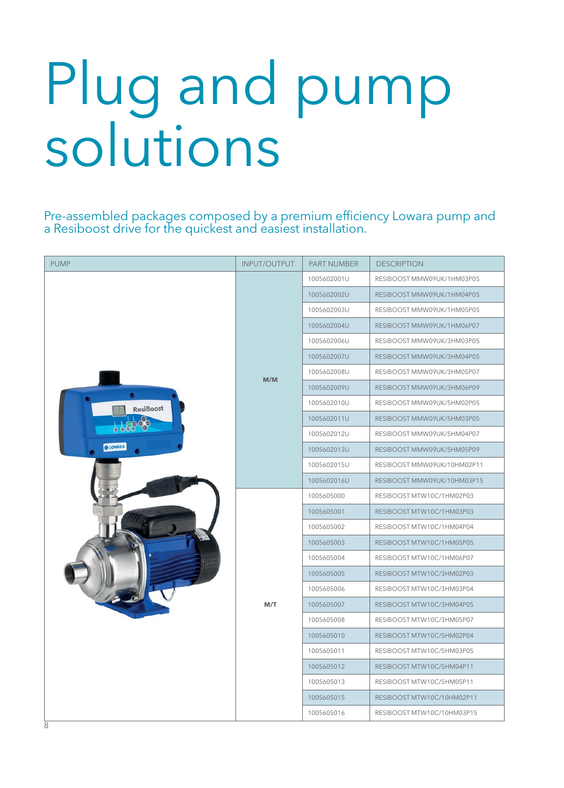# Plug and pump solutions

Pre-assembled packages composed by a premium efficiency Lowara pump and a Resiboost drive for the quickest and easiest installation.

| <b>PUMP</b>      | <b>INPUT/OUTPUT</b>       | <b>PART NUMBER</b>          | <b>DESCRIPTION</b>                                                                                                                                                                                                                                                                                                                                        |  |  |
|------------------|---------------------------|-----------------------------|-----------------------------------------------------------------------------------------------------------------------------------------------------------------------------------------------------------------------------------------------------------------------------------------------------------------------------------------------------------|--|--|
|                  |                           | 1005602001U                 | RESIBOOST MMW09UK/1HM03P05                                                                                                                                                                                                                                                                                                                                |  |  |
|                  |                           | 1005602002U                 | RESIBOOST MMW09UK/1HM04P05                                                                                                                                                                                                                                                                                                                                |  |  |
|                  |                           | 1005602003U                 | RESIBOOST MMW09UK/1HM05P05                                                                                                                                                                                                                                                                                                                                |  |  |
|                  |                           | 1005602004U                 | RESIBOOST MMW09UK/1HM06P07                                                                                                                                                                                                                                                                                                                                |  |  |
|                  |                           | 1005602006U                 | RESIBOOST MMW09UK/3HM03P05                                                                                                                                                                                                                                                                                                                                |  |  |
|                  |                           | 1005602007U                 | RESIBOOST MMW09UK/3HM04P05                                                                                                                                                                                                                                                                                                                                |  |  |
|                  | M/M                       | 1005602008U                 | RESIBOOST MMW09UK/3HM05P07                                                                                                                                                                                                                                                                                                                                |  |  |
|                  |                           | 1005602009U                 | RESIBOOST MMW09UK/3HM06P09                                                                                                                                                                                                                                                                                                                                |  |  |
| <b>ResiBoost</b> |                           | 1005602010U                 | RESIBOOST MMW09UK/5HM02P05                                                                                                                                                                                                                                                                                                                                |  |  |
|                  |                           | 1005602011U                 | RESIBOOST MMW09UK/5HM03P05                                                                                                                                                                                                                                                                                                                                |  |  |
|                  |                           | 1005602012U                 | RESIBOOST MMW09UK/5HM04P07                                                                                                                                                                                                                                                                                                                                |  |  |
| <b>IOWARA</b>    |                           | 1005602013U                 | RESIBOOST MMW09UK/5HM05P09                                                                                                                                                                                                                                                                                                                                |  |  |
|                  |                           | 1005602015U                 | RESIBOOST MMW09UK/10HM02P11                                                                                                                                                                                                                                                                                                                               |  |  |
|                  | 1005602016U<br>1005605000 | RESIBOOST MMW09UK/10HM03P15 |                                                                                                                                                                                                                                                                                                                                                           |  |  |
|                  |                           |                             | RESIBOOST MTW10C/1HM02P03                                                                                                                                                                                                                                                                                                                                 |  |  |
|                  | 1005605001                | RESIBOOST MTW10C/1HM03P03   |                                                                                                                                                                                                                                                                                                                                                           |  |  |
|                  |                           | 1005605002                  | RESIBOOST MTW10C/1HM04P04<br>RESIBOOST MTW10C/1HM05P05<br>RESIBOOST MTW10C/1HM06P07<br>RESIBOOST MTW10C/3HM02P03<br>RESIBOOST MTW10C/3HM03P04<br>RESIBOOST MTW10C/3HM04P05<br>RESIBOOST MTW10C/3HM05P07<br>RESIBOOST MTW10C/5HM02P04<br>RESIBOOST MTW10C/5HM03P05<br>RESIBOOST MTW10C/5HM04P11<br>RESIBOOST MTW10C/5HM05P11<br>RESIBOOST MTW10C/10HM02P11 |  |  |
|                  |                           | 1005605003                  |                                                                                                                                                                                                                                                                                                                                                           |  |  |
|                  |                           | 1005605004                  |                                                                                                                                                                                                                                                                                                                                                           |  |  |
|                  |                           | 1005605005                  |                                                                                                                                                                                                                                                                                                                                                           |  |  |
|                  |                           | 1005605006                  | RESIBOOST MTW10C/10HM03P15                                                                                                                                                                                                                                                                                                                                |  |  |
|                  | M/T                       | 1005605007                  |                                                                                                                                                                                                                                                                                                                                                           |  |  |
|                  |                           | 1005605008                  |                                                                                                                                                                                                                                                                                                                                                           |  |  |
|                  |                           | 1005605010                  |                                                                                                                                                                                                                                                                                                                                                           |  |  |
|                  |                           | 1005605011                  |                                                                                                                                                                                                                                                                                                                                                           |  |  |
|                  |                           | 1005605012                  |                                                                                                                                                                                                                                                                                                                                                           |  |  |
|                  |                           | 1005605013                  |                                                                                                                                                                                                                                                                                                                                                           |  |  |
|                  |                           | 1005605015                  |                                                                                                                                                                                                                                                                                                                                                           |  |  |
|                  |                           | 1005605016                  |                                                                                                                                                                                                                                                                                                                                                           |  |  |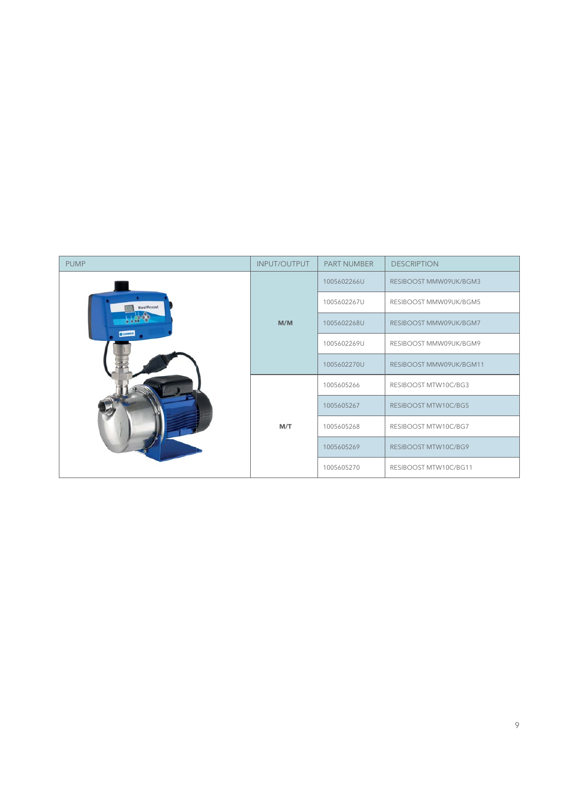| <b>PUMP</b>     | INPUT/OUTPUT | PART NUMBER | <b>DESCRIPTION</b>      |  |
|-----------------|--------------|-------------|-------------------------|--|
|                 |              | 1005602266U | RESIBOOST MMW09UK/BGM3  |  |
| ResiBoost       |              | 1005602267U | RESIBOOST MMW09UK/BGM5  |  |
| <b>O LOWRRA</b> | M/M          | 1005602268U | RESIBOOST MMW09UK/BGM7  |  |
|                 |              | 1005602269U | RESIBOOST MMW09UK/BGM9  |  |
|                 |              | 1005602270U | RESIBOOST MMW09UK/BGM11 |  |
|                 |              | 1005605266  | RESIBOOST MTW10C/BG3    |  |
|                 |              | 1005605267  | RESIBOOST MTW10C/BG5    |  |
|                 | M/T          | 1005605268  | RESIBOOST MTW10C/BG7    |  |
|                 |              | 1005605269  | RESIBOOST MTW10C/BG9    |  |
|                 |              | 1005605270  | RESIBOOST MTW10C/BG11   |  |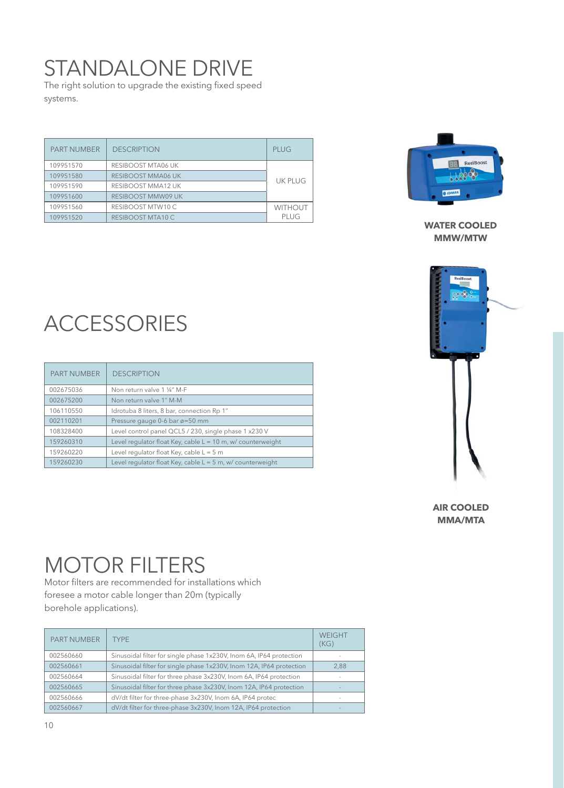## STANDALONE DRIVE

The right solution to upgrade the existing fixed speed systems.

| <b>PART NUMBER</b>              | <b>DESCRIPTION</b> | PLUG           |
|---------------------------------|--------------------|----------------|
| 109951570                       | RESIBOOST MTA06 UK |                |
| 109951580                       | RESIBOOST MMA06 UK | UK PLUG        |
| 109951590<br>RESIBOOST MMA12 UK |                    |                |
| 109951600                       | RESIBOOST MMW09 UK |                |
| 109951560                       | RESIBOOST MTW10 C  | <b>WITHOUT</b> |
| 109951520                       | RESIBOOST MTA10 C  | PLUG           |



**WATER COOLED MMW/MTW**



**AIR COOLED MMA/MTA**

## ACCESSORIES

| <b>PART NUMBER</b> | <b>DESCRIPTION</b>                                            |
|--------------------|---------------------------------------------------------------|
| 002675036          | Non return valve 1 1/4" M-F                                   |
| 002675200          | Non return valve 1" M-M                                       |
| 106110550          | Idrotuba 8 liters, 8 bar, connection Rp 1"                    |
| 002110201          | Pressure gauge 0-6 bar ø=50 mm                                |
| 108328400          | Level control panel QCL5 / 230, single phase 1 x230 V         |
| 159260310          | Level regulator float Key, cable $L = 10$ m, w/ counterweight |
| 159260220          | Level regulator float Key, cable $L = 5$ m                    |
| 159260230          | Level regulator float Key, cable $L = 5$ m, w/ counterweight  |

## MOTOR FILTERS

Motor filters are recommended for installations which foresee a motor cable longer than 20m (typically borehole applications).

| <b>PART NUMBER</b> | <b>TYPE</b>                                                          | <b>WEIGHT</b><br>(KG) |
|--------------------|----------------------------------------------------------------------|-----------------------|
| 002560660          | Sinusoidal filter for single phase 1x230V, Inom 6A, IP64 protection  |                       |
| 002560661          | Sinusoidal filter for single phase 1x230V, Inom 12A, IP64 protection | 2,88                  |
| 002560664          | Sinusoidal filter for three phase 3x230V, Inom 6A, IP64 protection   |                       |
| 002560665          | Sinusoidal filter for three phase 3x230V, Inom 12A, IP64 protection  |                       |
| 002560666          | dV/dt filter for three-phase 3x230V, Inom 6A, IP64 protec            |                       |
| 002560667          | dV/dt filter for three-phase 3x230V, Inom 12A, IP64 protection       |                       |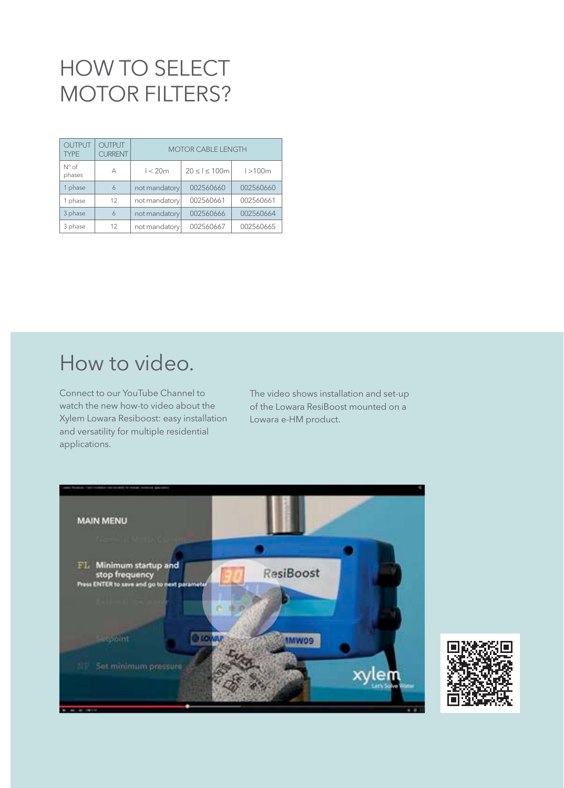## HOW TO SELECT MOTOR FILTERS?

| <b>OUTPUT</b><br><b>TYPE</b> | <b>OUTPUT</b><br><b>CURRENT</b> | <b>MOTOR CABLE LENGTH</b> |                        |           |
|------------------------------|---------------------------------|---------------------------|------------------------|-----------|
| $N^{\circ}$ of<br>phases     | A                               | l < 20m                   | $20 \leq l \leq 100$ m | 1 > 100m  |
| 1 phase                      | 6                               | not mandatory             | 002560660              | 002560660 |
| 1 phase                      | 12                              | not mandatory             | 002560661              | 002560661 |
| 3 phase                      | 6                               | not mandatory             | 002560666              | 002560664 |
| 3 phase                      | 12                              | not mandatory             | 002560667              | 002560665 |

#### How to video.

Connect to our YouTube Channel to watch the new how-to video about the Xylem Lowara Resiboost: easy installation and versatility for multiple residential applications.

The video shows installation and set-up of the Lowara ResiBoost mounted on a Lowara e-HM product.